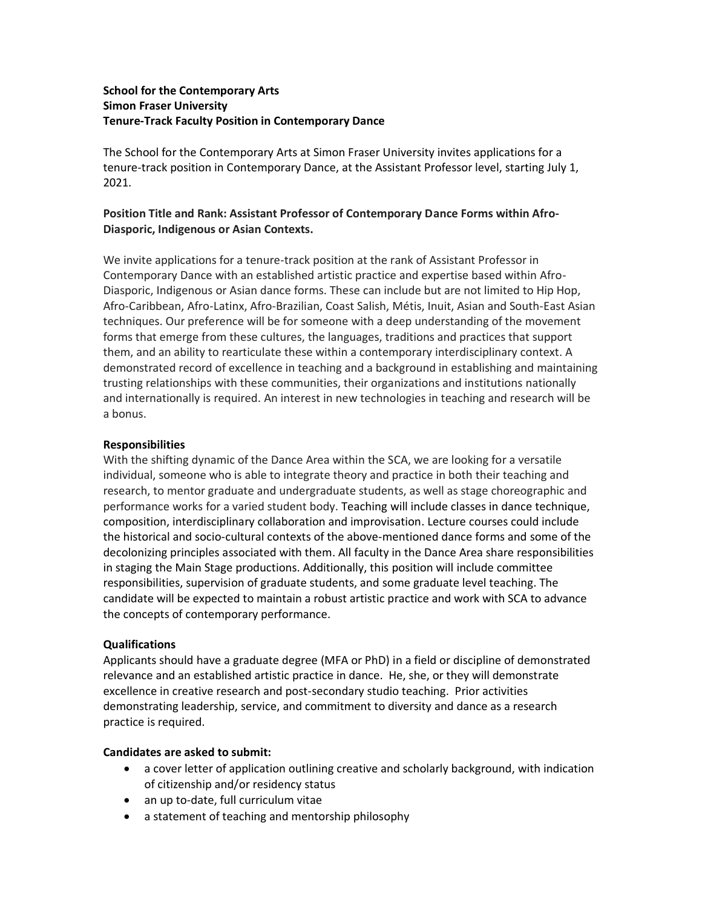# **School for the Contemporary Arts Simon Fraser University Tenure-Track Faculty Position in Contemporary Dance**

The School for the Contemporary Arts at Simon Fraser University invites applications for a tenure-track position in Contemporary Dance, at the Assistant Professor level, starting July 1, 2021.

# **Position Title and Rank: Assistant Professor of Contemporary Dance Forms within Afro-Diasporic, Indigenous or Asian Contexts.**

We invite applications for a tenure-track position at the rank of Assistant Professor in Contemporary Dance with an established artistic practice and expertise based within Afro-Diasporic, Indigenous or Asian dance forms. These can include but are not limited to Hip Hop, Afro-Caribbean, Afro-Latinx, Afro-Brazilian, Coast Salish, Métis, Inuit, Asian and South-East Asian techniques. Our preference will be for someone with a deep understanding of the movement forms that emerge from these cultures, the languages, traditions and practices that support them, and an ability to rearticulate these within a contemporary interdisciplinary context. A demonstrated record of excellence in teaching and a background in establishing and maintaining trusting relationships with these communities, their organizations and institutions nationally and internationally is required. An interest in new technologies in teaching and research will be a bonus.

# **Responsibilities**

With the shifting dynamic of the Dance Area within the SCA, we are looking for a versatile individual, someone who is able to integrate theory and practice in both their teaching and research, to mentor graduate and undergraduate students, as well as stage choreographic and performance works for a varied student body. Teaching will include classes in dance technique, composition, interdisciplinary collaboration and improvisation. Lecture courses could include the historical and socio-cultural contexts of the above-mentioned dance forms and some of the decolonizing principles associated with them. All faculty in the Dance Area share responsibilities in staging the Main Stage productions. Additionally, this position will include committee responsibilities, supervision of graduate students, and some graduate level teaching. The candidate will be expected to maintain a robust artistic practice and work with SCA to advance the concepts of contemporary performance.

## **Qualifications**

Applicants should have a graduate degree (MFA or PhD) in a field or discipline of demonstrated relevance and an established artistic practice in dance. He, she, or they will demonstrate excellence in creative research and post-secondary studio teaching. Prior activities demonstrating leadership, service, and commitment to diversity and dance as a research practice is required.

## **Candidates are asked to submit:**

- a cover letter of application outlining creative and scholarly background, with indication of citizenship and/or residency status
- an up to-date, full curriculum vitae
- a statement of teaching and mentorship philosophy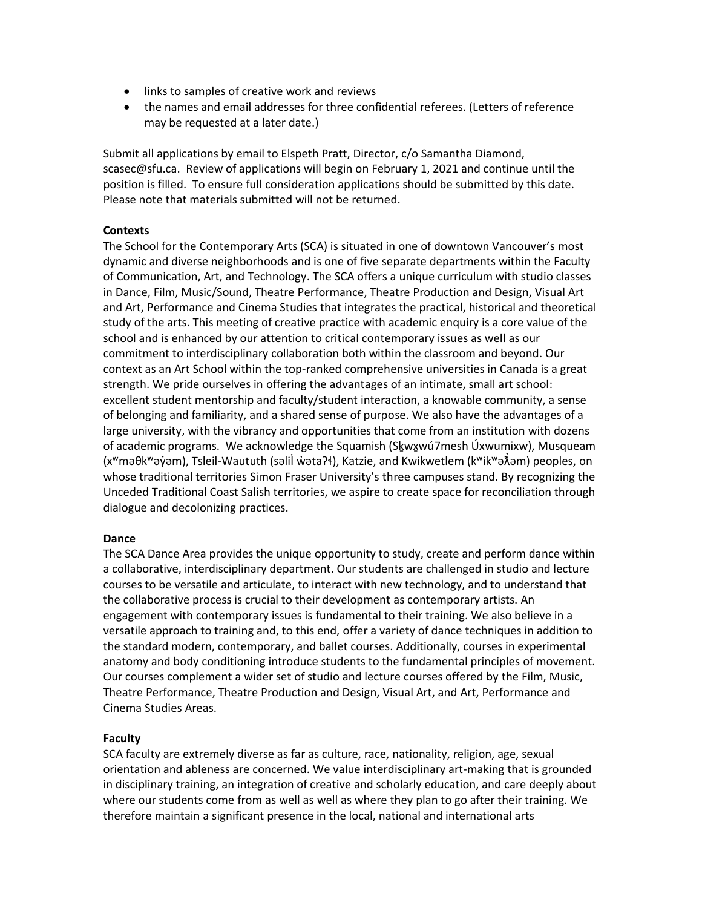- links to samples of creative work and reviews
- the names and email addresses for three confidential referees. (Letters of reference may be requested at a later date.)

Submit all applications by email to Elspeth Pratt, Director, c/o Samantha Diamond, scasec@sfu.ca. Review of applications will begin on February 1, 2021 and continue until the position is filled. To ensure full consideration applications should be submitted by this date. Please note that materials submitted will not be returned.

### **Contexts**

The School for the Contemporary Arts (SCA) is situated in one of downtown Vancouver's most dynamic and diverse neighborhoods and is one of five separate departments within the Faculty of Communication, Art, and Technology. The SCA offers a unique curriculum with studio classes in Dance, Film, Music/Sound, Theatre Performance, Theatre Production and Design, Visual Art and Art, Performance and Cinema Studies that integrates the practical, historical and theoretical study of the arts. This meeting of creative practice with academic enquiry is a core value of the school and is enhanced by our attention to critical contemporary issues as well as our commitment to interdisciplinary collaboration both within the classroom and beyond. Our context as an Art School within the top-ranked comprehensive universities in Canada is a great strength. We pride ourselves in offering the advantages of an intimate, small art school: excellent student mentorship and faculty/student interaction, a knowable community, a sense of belonging and familiarity, and a shared sense of purpose. We also have the advantages of a large university, with the vibrancy and opportunities that come from an institution with dozens of academic programs. We acknowledge the Squamish (Sḵwx̱wú7mesh Úxwumixw), Musqueam (xʷməθkʷəy̓əm), Tsleil-Waututh (səlil̓w̓ətaʔɬ), Katzie, and Kwikwetlem (kʷikʷəƛ̓əm) peoples, on whose traditional territories Simon Fraser University's three campuses stand. By recognizing the Unceded Traditional Coast Salish territories, we aspire to create space for reconciliation through dialogue and decolonizing practices.

#### **Dance**

The SCA Dance Area provides the unique opportunity to study, create and perform dance within a collaborative, interdisciplinary department. Our students are challenged in studio and lecture courses to be versatile and articulate, to interact with new technology, and to understand that the collaborative process is crucial to their development as contemporary artists. An engagement with contemporary issues is fundamental to their training. We also believe in a versatile approach to training and, to this end, offer a variety of dance techniques in addition to the standard modern, contemporary, and ballet courses. Additionally, courses in experimental anatomy and body conditioning introduce students to the fundamental principles of movement. Our courses complement a wider set of studio and lecture courses offered by the Film, Music, Theatre Performance, Theatre Production and Design, Visual Art, and Art, Performance and Cinema Studies Areas.

#### **Faculty**

SCA faculty are extremely diverse as far as culture, race, nationality, religion, age, sexual orientation and ableness are concerned. We value interdisciplinary art-making that is grounded in disciplinary training, an integration of creative and scholarly education, and care deeply about where our students come from as well as well as where they plan to go after their training. We therefore maintain a significant presence in the local, national and international arts